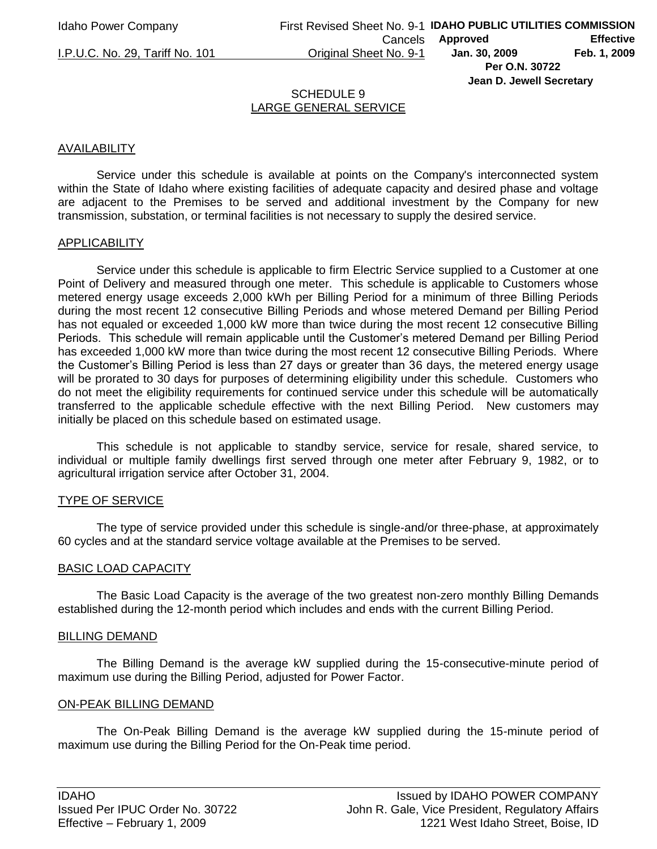**Jean D. Jewell Secretary** 

#### SCHEDULE 9 LARGE GENERAL SERVICE

# AVAILABILITY

Service under this schedule is available at points on the Company's interconnected system within the State of Idaho where existing facilities of adequate capacity and desired phase and voltage are adjacent to the Premises to be served and additional investment by the Company for new transmission, substation, or terminal facilities is not necessary to supply the desired service.

# APPLICABILITY

Service under this schedule is applicable to firm Electric Service supplied to a Customer at one Point of Delivery and measured through one meter. This schedule is applicable to Customers whose metered energy usage exceeds 2,000 kWh per Billing Period for a minimum of three Billing Periods during the most recent 12 consecutive Billing Periods and whose metered Demand per Billing Period has not equaled or exceeded 1,000 kW more than twice during the most recent 12 consecutive Billing Periods. This schedule will remain applicable until the Customer's metered Demand per Billing Period has exceeded 1,000 kW more than twice during the most recent 12 consecutive Billing Periods. Where the Customer's Billing Period is less than 27 days or greater than 36 days, the metered energy usage will be prorated to 30 days for purposes of determining eligibility under this schedule. Customers who do not meet the eligibility requirements for continued service under this schedule will be automatically transferred to the applicable schedule effective with the next Billing Period. New customers may initially be placed on this schedule based on estimated usage.

This schedule is not applicable to standby service, service for resale, shared service, to individual or multiple family dwellings first served through one meter after February 9, 1982, or to agricultural irrigation service after October 31, 2004.

# TYPE OF SERVICE

The type of service provided under this schedule is single-and/or three-phase, at approximately 60 cycles and at the standard service voltage available at the Premises to be served.

# BASIC LOAD CAPACITY

The Basic Load Capacity is the average of the two greatest non-zero monthly Billing Demands established during the 12-month period which includes and ends with the current Billing Period.

#### BILLING DEMAND

The Billing Demand is the average kW supplied during the 15-consecutive-minute period of maximum use during the Billing Period, adjusted for Power Factor.

# ON-PEAK BILLING DEMAND

The On-Peak Billing Demand is the average kW supplied during the 15-minute period of maximum use during the Billing Period for the On-Peak time period.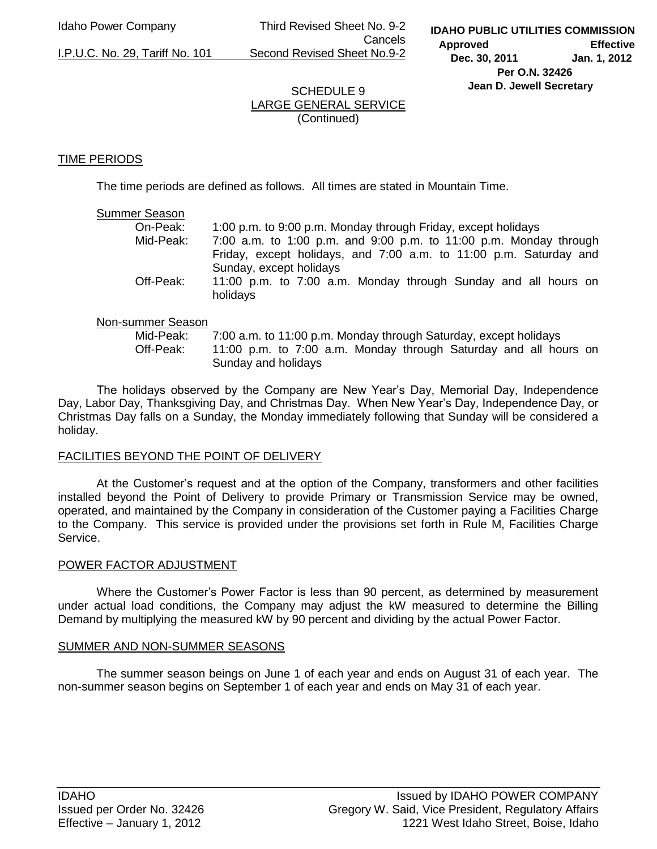Idaho Power Company Third Revised Sheet No. 9-2 Cancels I.P.U.C. No. 29, Tariff No. 101 Second Revised Sheet No.9-2

# SCHEDULE 9 LARGE GENERAL SERVICE (Continued)

# TIME PERIODS

The time periods are defined as follows. All times are stated in Mountain Time.

### Summer Season

| On-Peak:  | 1:00 p.m. to 9:00 p.m. Monday through Friday, except holidays                                |  |  |
|-----------|----------------------------------------------------------------------------------------------|--|--|
| Mid-Peak: | 7:00 a.m. to 1:00 p.m. and 9:00 p.m. to 11:00 p.m. Monday through                            |  |  |
|           | Friday, except holidays, and 7:00 a.m. to 11:00 p.m. Saturday and<br>Sunday, except holidays |  |  |
| Off-Peak: | 11:00 p.m. to 7:00 a.m. Monday through Sunday and all hours on<br>holidays                   |  |  |

# Non-summer Season

 Mid-Peak: 7:00 a.m. to 11:00 p.m. Monday through Saturday, except holidays Off-Peak: 11:00 p.m. to 7:00 a.m. Monday through Saturday and all hours on Sunday and holidays

The holidays observed by the Company are New Year's Day, Memorial Day, Independence Day, Labor Day, Thanksgiving Day, and Christmas Day. When New Year's Day, Independence Day, or Christmas Day falls on a Sunday, the Monday immediately following that Sunday will be considered a holiday.

# FACILITIES BEYOND THE POINT OF DELIVERY

 At the Customer's request and at the option of the Company, transformers and other facilities installed beyond the Point of Delivery to provide Primary or Transmission Service may be owned, operated, and maintained by the Company in consideration of the Customer paying a Facilities Charge to the Company. This service is provided under the provisions set forth in Rule M, Facilities Charge Service.

# POWER FACTOR ADJUSTMENT

Where the Customer's Power Factor is less than 90 percent, as determined by measurement under actual load conditions, the Company may adjust the kW measured to determine the Billing Demand by multiplying the measured kW by 90 percent and dividing by the actual Power Factor.

# SUMMER AND NON-SUMMER SEASONS

 The summer season beings on June 1 of each year and ends on August 31 of each year. The non-summer season begins on September 1 of each year and ends on May 31 of each year.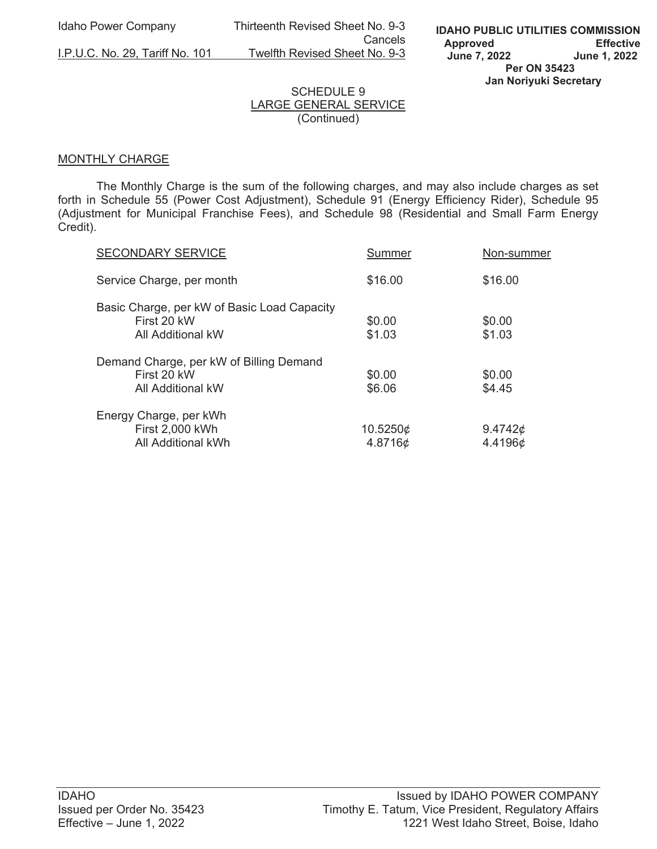Idaho Power Company Thirteenth Revised Sheet No. 9-3 Cancels<br><u>I.P.U.C. No. 29, Tariff No. 101</u> Twelfth Revised Sheet No. 9-3 Twelfth Revised Sheet No. 9-3

# SCHEDULE 9 LARGE GENERAL SERVICE (Continued)

# MONTHLY CHARGE

 The Monthly Charge is the sum of the following charges, and may also include charges as set forth in Schedule 55 (Power Cost Adjustment), Schedule 91 (Energy Efficiency Rider), Schedule 95 (Adjustment for Municipal Franchise Fees), and Schedule 98 (Residential and Small Farm Energy Credit).

| <b>SECONDARY SERVICE</b>                                                        | Summer              | Non-summer               |
|---------------------------------------------------------------------------------|---------------------|--------------------------|
| Service Charge, per month                                                       | \$16.00             | \$16.00                  |
| Basic Charge, per kW of Basic Load Capacity<br>First 20 kW<br>All Additional kW | \$0.00<br>\$1.03    | \$0.00<br>\$1.03         |
| Demand Charge, per kW of Billing Demand<br>First 20 kW<br>All Additional kW     | \$0.00<br>\$6.06    | \$0.00<br>\$4.45         |
| Energy Charge, per kWh<br>First 2,000 kWh<br>All Additional kWh                 | 10.5250¢<br>4.8716¢ | 9.4742 $\phi$<br>4.4196¢ |